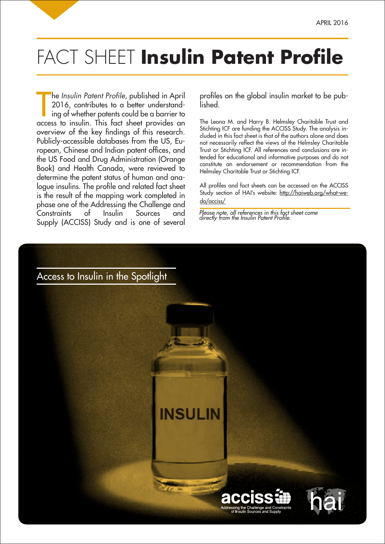## FACT SHEET Insulin Patent Profile

The *Insulin Patent Profile*, published in April<br>2016, contributes to a better understand-<br>ing of whether patents could be a barrier to<br>access to insulin. This fact sheet provides an he *Insulin Patent Profile, published in April* 2016, contributes to a better understanding of whether patents could be a barrier to overview of the key findings of this research. Publicly-accessible databases from the US, European, Chinese and Indian patent offices, and the US Food and Drug Administration (Orange Book) and Health Canada, were reviewed to determine the patent status of human and analogue insulins. The profile and related fact sheet is the result of the mapping work completed in phase one of the Addressing the Challenge and Constraints of Insulin Sources and Supply (ACCISS) Study and is one of several

profiles on the global insulin market to be published.

The Leona M. and Harry B. Helmsley Charitable Trust and Stichting ICF are funding the ACCISS Study. The analysis included in this fact sheet is that of the authors alone and does not necessarily reflect the views of the Helmsley Charitable Trust or Stichting ICF. All references and conclusions are intended for educational and informative purposes and do not constitute an endorsement or recommendation from the Helmsley Charitable Trust or Stichting ICF.

All profiles and fact sheets can be accessed on the ACCISS Study section of HAI's website: http://haiweb.org/what-wedo/acciss/

Please note, all references in this fact sheet come directly from the Insulin Patent Profile.